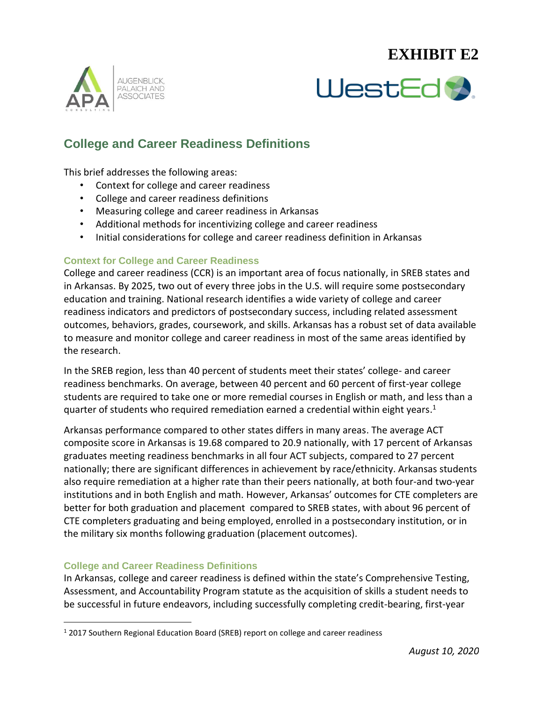# **EXHIBIT E2**





## **College and Career Readiness Definitions**

This brief addresses the following areas:

- Context for college and career readiness
- College and career readiness definitions
- Measuring college and career readiness in Arkansas
- Additional methods for incentivizing college and career readiness
- Initial considerations for college and career readiness definition in Arkansas

#### **Context for College and Career Readiness**

College and career readiness (CCR) is an important area of focus nationally, in SREB states and in Arkansas. By 2025, two out of every three jobs in the U.S. will require some postsecondary education and training. National research identifies a wide variety of college and career readiness indicators and predictors of postsecondary success, including related assessment outcomes, behaviors, grades, coursework, and skills. Arkansas has a robust set of data available to measure and monitor college and career readiness in most of the same areas identified by the research.

In the SREB region, less than 40 percent of students meet their states' college- and career readiness benchmarks. On average, between 40 percent and 60 percent of first-year college students are required to take one or more remedial courses in English or math, and less than a quarter of students who required remediation earned a credential within eight years.<sup>1</sup>

Arkansas performance compared to other states differs in many areas. The average ACT composite score in Arkansas is 19.68 compared to 20.9 nationally, with 17 percent of Arkansas graduates meeting readiness benchmarks in all four ACT subjects, compared to 27 percent nationally; there are significant differences in achievement by race/ethnicity. Arkansas students also require remediation at a higher rate than their peers nationally, at both four-and two-year institutions and in both English and math. However, Arkansas' outcomes for CTE completers are better for both graduation and placement compared to SREB states, with about 96 percent of CTE completers graduating and being employed, enrolled in a postsecondary institution, or in the military six months following graduation (placement outcomes).

#### **College and Career Readiness Definitions**

 $\overline{a}$ 

In Arkansas, college and career readiness is defined within the state's Comprehensive Testing, Assessment, and Accountability Program statute as the acquisition of skills a student needs to be successful in future endeavors, including successfully completing credit-bearing, first-year

<sup>1</sup> 2017 Southern Regional Education Board (SREB) report on college and career readiness